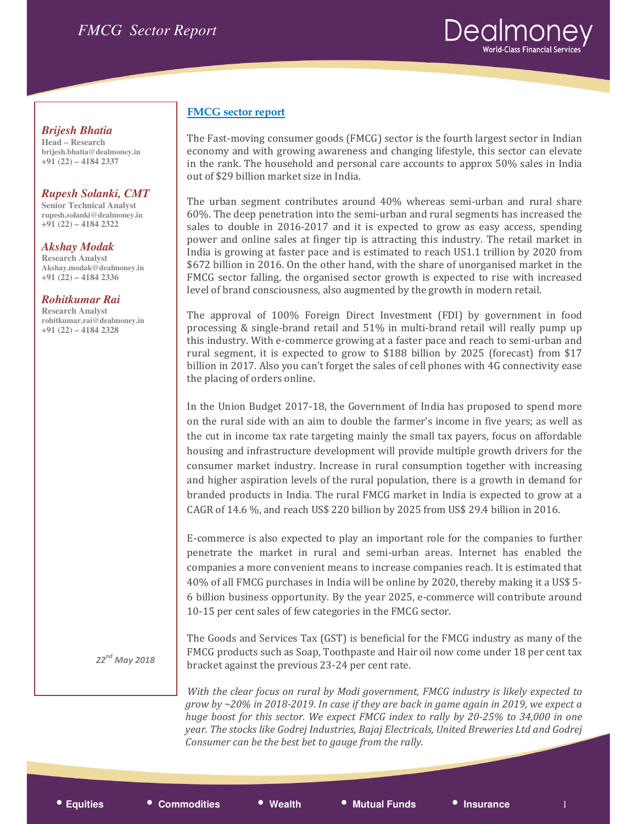

# *Brijesh Bhatia*

**Head – Research brijesh.bhatia@dealmoney.in +91 (22) – 4184 2337** 

### *Rupesh Solanki, CMT*

**Senior Technical Analyst rupesh.solanki@dealmoney.in +91 (22) – 4184 2322** 

#### *Akshay Modak*  **Research Analyst Akshay.modak@dealmoney.in +91 (22) – 4184 2336**

#### *Rohitkumar Rai*

**Research Analyst rohitkumar.rai@dealmoney.in +91 (22) – 4184 2328** 

# $22^{nd}$  May 2018

# FMCG sector report

The Fast-moving consumer goods (FMCG) sector is the fourth largest sector in Indian economy and with growing awareness and changing lifestyle, this sector can elevate in the rank. The household and personal care accounts to approx 50% sales in India out of \$29 billion market size in India.

The urban segment contributes around 40% whereas semi-urban and rural share 60%. The deep penetration into the semi-urban and rural segments has increased the sales to double in 2016-2017 and it is expected to grow as easy access, spending power and online sales at finger tip is attracting this industry. The retail market in India is growing at faster pace and is estimated to reach US1.1 trillion by 2020 from \$672 billion in 2016. On the other hand, with the share of unorganised market in the FMCG sector falling, the organised sector growth is expected to rise with increased level of brand consciousness, also augmented by the growth in modern retail.

The approval of 100% Foreign Direct Investment (FDI) by government in food processing & single-brand retail and 51% in multi-brand retail will really pump up this industry. With e-commerce growing at a faster pace and reach to semi-urban and rural segment, it is expected to grow to \$188 billion by 2025 (forecast) from \$17 billion in 2017. Also you can't forget the sales of cell phones with 4G connectivity ease the placing of orders online.

In the Union Budget 2017-18, the Government of India has proposed to spend more on the rural side with an aim to double the farmer's income in five years; as well as the cut in income tax rate targeting mainly the small tax payers, focus on affordable housing and infrastructure development will provide multiple growth drivers for the consumer market industry. Increase in rural consumption together with increasing and higher aspiration levels of the rural population, there is a growth in demand for branded products in India. The rural FMCG market in India is expected to grow at a CAGR of 14.6 %, and reach US\$ 220 billion by 2025 from US\$ 29.4 billion in 2016.

E-commerce is also expected to play an important role for the companies to further penetrate the market in rural and semi-urban areas. Internet has enabled the companies a more convenient means to increase companies reach. It is estimated that 40% of all FMCG purchases in India will be online by 2020, thereby making it a US\$ 5- 6 billion business opportunity. By the year 2025, e-commerce will contribute around 10-15 per cent sales of few categories in the FMCG sector.

The Goods and Services Tax (GST) is beneficial for the FMCG industry as many of the FMCG products such as Soap, Toothpaste and Hair oil now come under 18 per cent tax bracket against the previous 23-24 per cent rate.

With the clear focus on rural by Modi government, FMCG industry is likely expected to grow by ~20% in 2018-2019. In case if they are back in game again in 2019, we expect a huge boost for this sector. We expect FMCG index to rally by 20-25% to 34,000 in one year. The stocks like Godrej Industries, Bajaj Electricals, United Breweries Ltd and Godrej Consumer can be the best bet to gauge from the rally.

• **Equities** • **Commodities** • **Wealth** • **Mutual Funds** • **Insurance** <sup>1</sup>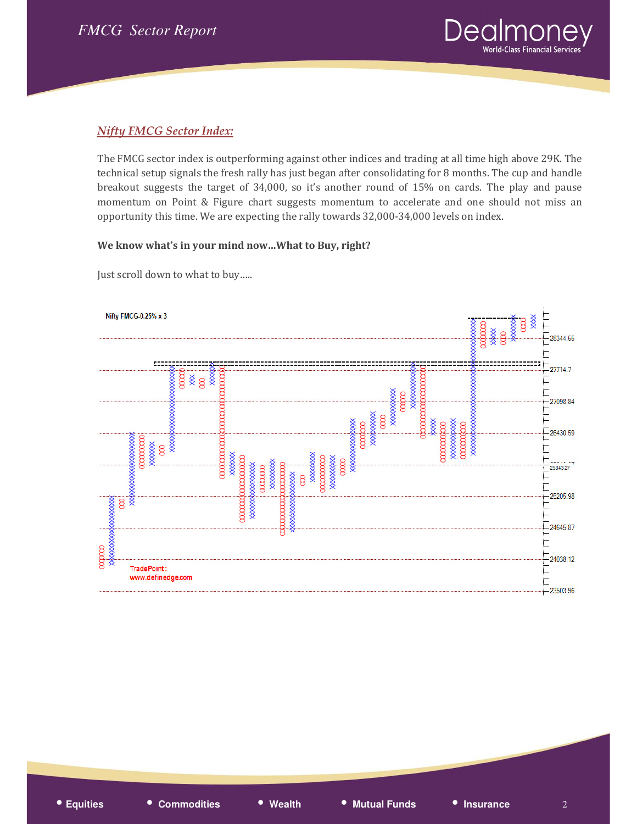

# Nifty FMCG Sector Index:

The FMCG sector index is outperforming against other indices and trading at all time high above 29K. The technical setup signals the fresh rally has just began after consolidating for 8 months. The cup and handle breakout suggests the target of 34,000, so it's another round of 15% on cards. The play and pause momentum on Point & Figure chart suggests momentum to accelerate and one should not miss an opportunity this time. We are expecting the rally towards 32,000-34,000 levels on index.

#### We know what's in your mind now…What to Buy, right?

Just scroll down to what to buy…..

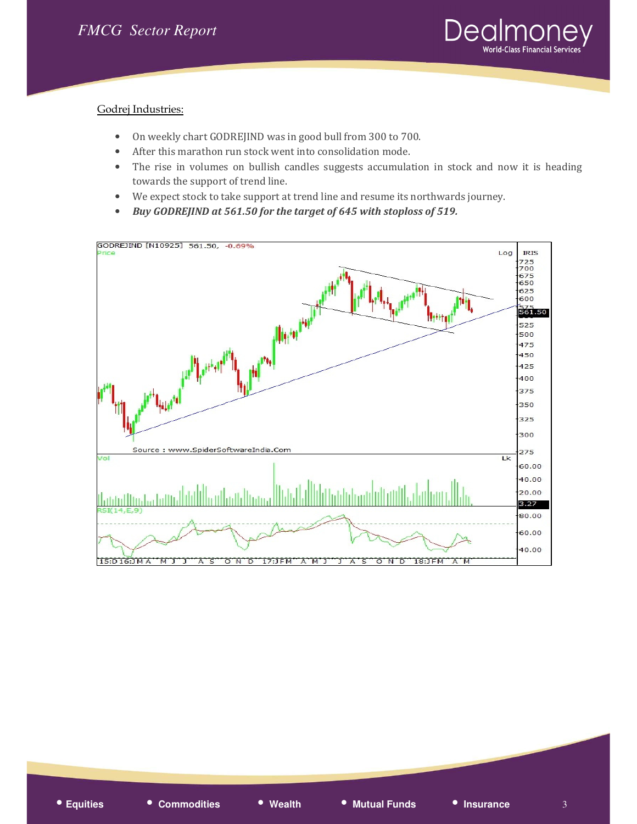

#### Godrej Industries:

- On weekly chart GODREJIND was in good bull from 300 to 700.
- After this marathon run stock went into consolidation mode.
- The rise in volumes on bullish candles suggests accumulation in stock and now it is heading towards the support of trend line.
- We expect stock to take support at trend line and resume its northwards journey.
- Buy GODREJIND at 561.50 for the target of 645 with stoploss of 519.

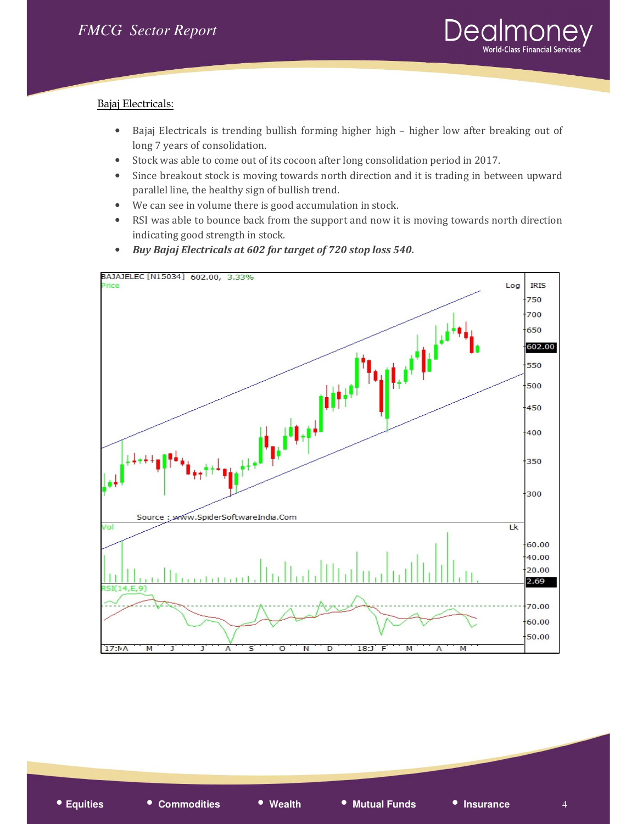

#### Bajaj Electricals:

- Bajaj Electricals is trending bullish forming higher high higher low after breaking out of long 7 years of consolidation.
- Stock was able to come out of its cocoon after long consolidation period in 2017.
- Since breakout stock is moving towards north direction and it is trading in between upward parallel line, the healthy sign of bullish trend.
- We can see in volume there is good accumulation in stock.
- RSI was able to bounce back from the support and now it is moving towards north direction indicating good strength in stock.
- Buy Bajaj Electricals at 602 for target of 720 stop loss 540.

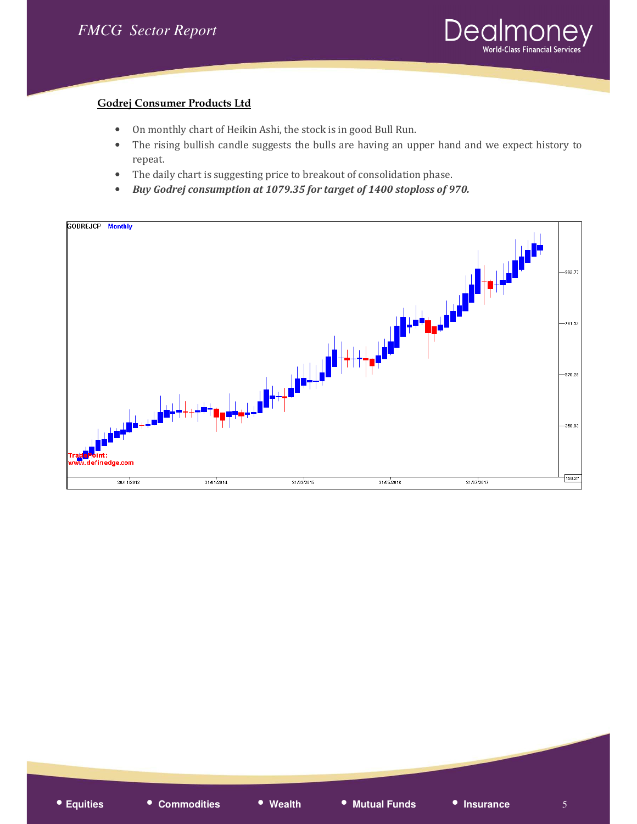

### Godrej Consumer Products Ltd

- On monthly chart of Heikin Ashi, the stock is in good Bull Run.
- The rising bullish candle suggests the bulls are having an upper hand and we expect history to repeat.
- The daily chart is suggesting price to breakout of consolidation phase.
- Buy Godrej consumption at 1079.35 for target of 1400 stoploss of 970.

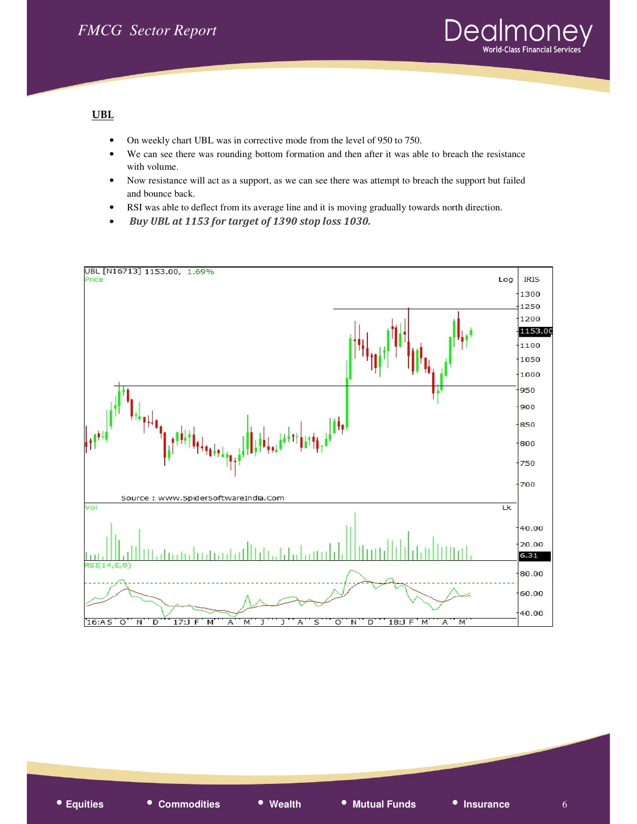

#### UBL

- On weekly chart UBL was in corrective mode from the level of 950 to 750.
- We can see there was rounding bottom formation and then after it was able to breach the resistance with volume.
- Now resistance will act as a support, as we can see there was attempt to breach the support but failed and bounce back.
- RSI was able to deflect from its average line and it is moving gradually towards north direction.
- Buy UBL at 1153 for target of 1390 stop loss 1030.